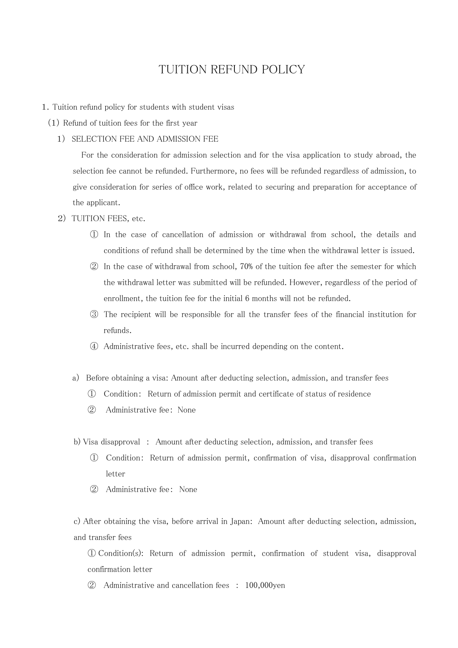# TUITION REFUND POLICY

- 1.Tuition refund policy for students with student visas
	- (1) Refund of tuition fees for the first year
		- 1) SELECTION FEE AND ADMISSION FEE

For the consideration for admission selection and for the visa application to study abroad, the selection fee cannot be refunded. Furthermore, no fees will be refunded regardless of admission, to give consideration for series of office work, related to securing and preparation for acceptance of the applicant.

- 2) TUITION FEES, etc.
	- ① In the case of cancellation of admission or withdrawal from school, the details and conditions of refund shall be determined by the time when the withdrawal letter is issued.
	- ② In the case of withdrawal from school, 70% of the tuition fee after the semester for which the withdrawal letter was submitted will be refunded. However, regardless of the period of enrollment, the tuition fee for the initial 6 months will not be refunded.
	- ③ The recipient will be responsible for all the transfer fees of the financial institution for refunds.
	- ④ Administrative fees, etc. shall be incurred depending on the content.
	- a) Before obtaining a visa: Amount after deducting selection, admission, and transfer fees
		- ① Condition: Return of admission permit and certificate of status of residence
		- ② Administrative fee: None
	- b) Visa disapproval : Amount after deducting selection, admission, and transfer fees
		- ① Condition: Return of admission permit, confirmation of visa, disapproval confirmation letter
		- ② Administrative fee: None

c) After obtaining the visa, before arrival in Japan: Amount after deducting selection, admission, and transfer fees

① Condition(s): Return of admission permit, confirmation of student visa, disapproval confirmation letter

② Administrative and cancellation fees : 100,000yen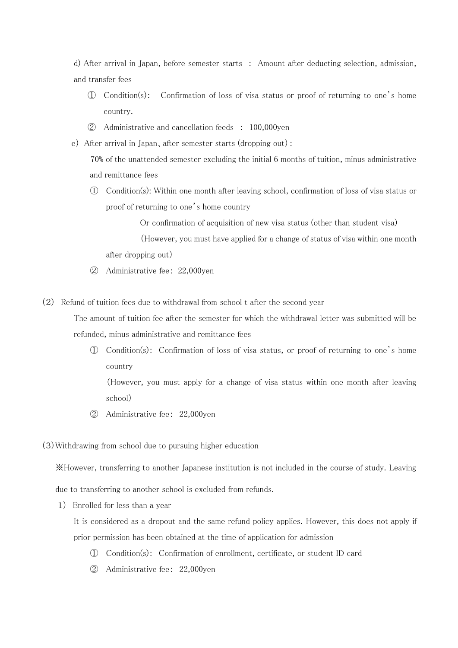d) After arrival in Japan, before semester starts : Amount after deducting selection, admission, and transfer fees

- ① Condition(s): Confirmation of loss of visa status or proof of returning to one's home country.
- ② Administrative and cancellation feeds : 100,000yen
- e) After arrival in Japan、after semester starts (dropping out):

70% of the unattended semester excluding the initial 6 months of tuition, minus administrative and remittance fees

① Condition(s): Within one month after leaving school, confirmation of loss of visa status or proof of returning to one's home country

Or confirmation of acquisition of new visa status (other than student visa)

(However, you must have applied for a change of status of visa within one month after dropping out)

- ② Administrative fee: 22,000yen
- (2) Refund of tuition fees due to withdrawal from school t after the second year

The amount of tuition fee after the semester for which the withdrawal letter was submitted will be refunded, minus administrative and remittance fees

① Condition(s): Confirmation of loss of visa status, or proof of returning to one's home country

(However, you must apply for a change of visa status within one month after leaving school)

② Administrative fee: 22,000yen

(3)Withdrawing from school due to pursuing higher education

※However, transferring to another Japanese institution is not included in the course of study. Leaving

due to transferring to another school is excluded from refunds.

1) Enrolled for less than a year

It is considered as a dropout and the same refund policy applies. However, this does not apply if prior permission has been obtained at the time of application for admission

- ① Condition(s): Confirmation of enrollment, certificate, or student ID card
- ② Administrative fee: 22,000yen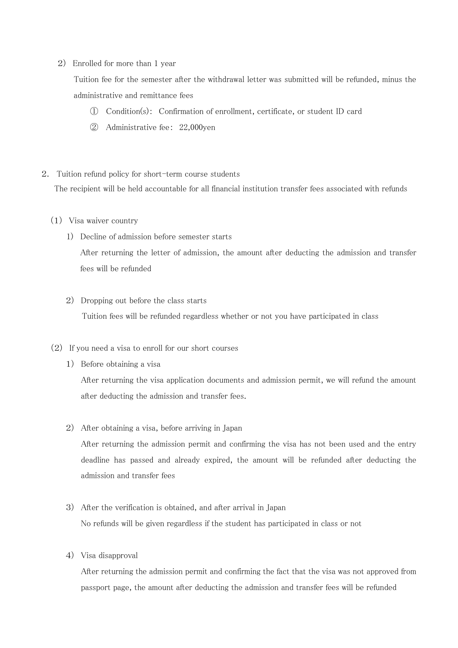#### 2) Enrolled for more than 1 year

Tuition fee for the semester after the withdrawal letter was submitted will be refunded, minus the administrative and remittance fees

- ① Condition(s): Confirmation of enrollment, certificate, or student ID card
- ② Administrative fee: 22,000yen
- 2. Tuition refund policy for short-term course students

The recipient will be held accountable for all financial institution transfer fees associated with refunds

- (1) Visa waiver country
	- 1) Decline of admission before semester starts

After returning the letter of admission, the amount after deducting the admission and transfer fees will be refunded

### 2) Dropping out before the class starts

Tuition fees will be refunded regardless whether or not you have participated in class

### (2) If you need a visa to enroll for our short courses

1) Before obtaining a visa

After returning the visa application documents and admission permit, we will refund the amount after deducting the admission and transfer fees.

### 2) After obtaining a visa, before arriving in Japan

After returning the admission permit and confirming the visa has not been used and the entry deadline has passed and already expired, the amount will be refunded after deducting the admission and transfer fees

## 3) After the verification is obtained, and after arrival in Japan No refunds will be given regardless if the student has participated in class or not

4) Visa disapproval

After returning the admission permit and confirming the fact that the visa was not approved from passport page, the amount after deducting the admission and transfer fees will be refunded